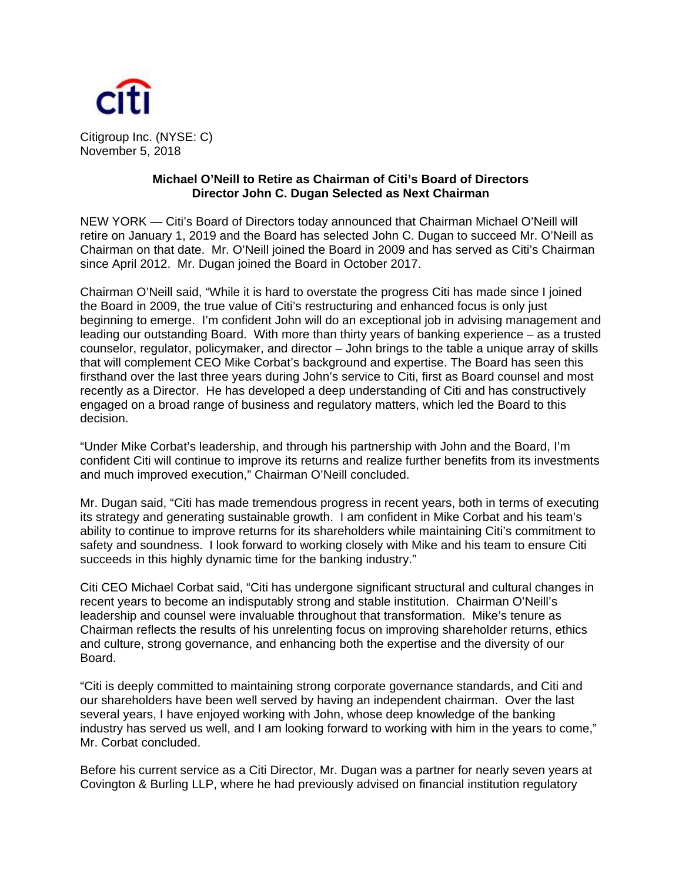

Citigroup Inc. (NYSE: C) November 5, 2018

## **Michael O'Neill to Retire as Chairman of Citi's Board of Directors Director John C. Dugan Selected as Next Chairman**

NEW YORK — Citi's Board of Directors today announced that Chairman Michael O'Neill will retire on January 1, 2019 and the Board has selected John C. Dugan to succeed Mr. O'Neill as Chairman on that date. Mr. O'Neill joined the Board in 2009 and has served as Citi's Chairman since April 2012. Mr. Dugan joined the Board in October 2017.

Chairman O'Neill said, "While it is hard to overstate the progress Citi has made since I joined the Board in 2009, the true value of Citi's restructuring and enhanced focus is only just beginning to emerge. I'm confident John will do an exceptional job in advising management and leading our outstanding Board. With more than thirty years of banking experience – as a trusted counselor, regulator, policymaker, and director – John brings to the table a unique array of skills that will complement CEO Mike Corbat's background and expertise. The Board has seen this firsthand over the last three years during John's service to Citi, first as Board counsel and most recently as a Director. He has developed a deep understanding of Citi and has constructively engaged on a broad range of business and regulatory matters, which led the Board to this decision.

"Under Mike Corbat's leadership, and through his partnership with John and the Board, I'm confident Citi will continue to improve its returns and realize further benefits from its investments and much improved execution," Chairman O'Neill concluded.

Mr. Dugan said, "Citi has made tremendous progress in recent years, both in terms of executing its strategy and generating sustainable growth. I am confident in Mike Corbat and his team's ability to continue to improve returns for its shareholders while maintaining Citi's commitment to safety and soundness. I look forward to working closely with Mike and his team to ensure Citi succeeds in this highly dynamic time for the banking industry."

Citi CEO Michael Corbat said, "Citi has undergone significant structural and cultural changes in recent years to become an indisputably strong and stable institution. Chairman O'Neill's leadership and counsel were invaluable throughout that transformation. Mike's tenure as Chairman reflects the results of his unrelenting focus on improving shareholder returns, ethics and culture, strong governance, and enhancing both the expertise and the diversity of our Board.

"Citi is deeply committed to maintaining strong corporate governance standards, and Citi and our shareholders have been well served by having an independent chairman. Over the last several years, I have enjoyed working with John, whose deep knowledge of the banking industry has served us well, and I am looking forward to working with him in the years to come," Mr. Corbat concluded.

Before his current service as a Citi Director, Mr. Dugan was a partner for nearly seven years at Covington & Burling LLP, where he had previously advised on financial institution regulatory